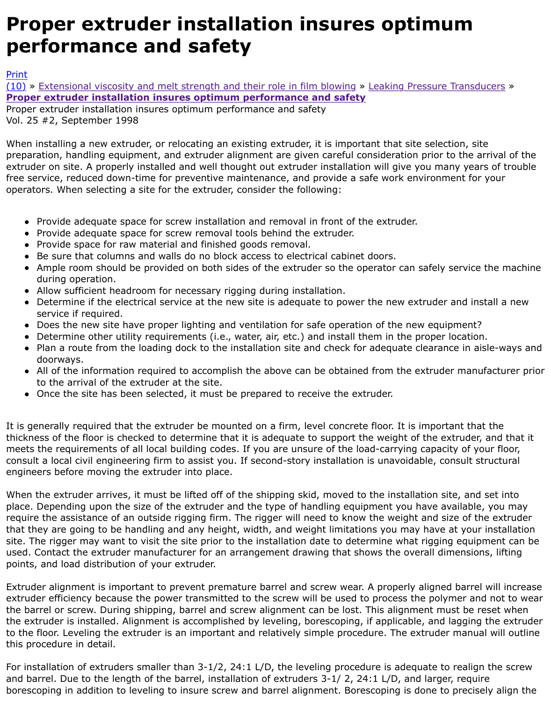## **Proper extruder installation insures optimum performance and safety**

Proper extruder installation insures optimum performance and safety Vol. 25 #2, September 1998

When installing a new extruder, or relocating an existing extruder, it is important that site selection, preparation, handling equipment, and extruder alignment are given careful consideration prior to th [extru](http://extrusionwiki.com/wiki/Print.aspx?Page=CC-V25-2-B)der on site. A properly installed and well thought out extruder installation will give you many y [free](http://extrusionwiki.com/wiki/CC-V25-2-B.ashx#) se[rvice, reduced down-time for preventive maintenance, and provide a](http://extrusionwiki.com/wiki/CC-V25-1-D.ashx) safe work environment [operators. When selecting a site for the extruder, consider the following:](http://extrusionwiki.com/wiki/CC-V25-2-B.ashx)

- Provide adequate space for screw installation and removal in front of the extruder.
- Provide adequate space for screw removal tools behind the extruder.
- Provide space for raw material and finished goods removal.
- Be sure that columns and walls do no block access to electrical cabinet doors.
- Ample room should be provided on both sides of the extruder so the operator can safely service during operation.
- Allow sufficient headroom for necessary rigging during installation.
- Determine if the electrical service at the new site is adequate to power the new extruder and service if required.
- Does the new site have proper lighting and ventilation for safe operation of the new equipme
- Determine other utility requirements (i.e., water, air, etc.) and install them in the proper location.
- Plan a route from the loading dock to the installation site and check for adequate clearance in doorways.
- All of the information required to accomplish the above can be obtained from the extruder ma to the arrival of the extruder at the site.
- Once the site has been selected, it must be prepared to receive the extruder.

It is generally required that the extruder be mounted on a firm, level concrete floor. It is important that thickness of the floor is checked to determine that it is adequate to support the weight of the extrud meets the requirements of all local building codes. If you are unsure of the load-carrying capacity of consult a local civil engineering firm to assist you. If second-story installation is unavoidable, consul engineers before moving the extruder into place.

When the extruder arrives, it must be lifted off of the shipping skid, moved to the installation site, and set into place. Depending upon the size of the extruder and the type of handling equipment you have availa require the assistance of an outside rigging firm. The rigger will need to know the weight and size o that they are going to be handling and any height, width, and weight limitations you may have at your site. The rigger may want to visit the site prior to the installation date to determine what rigging eg used. Contact the extruder manufacturer for an arrangement drawing that shows the overall dimens points, and load distribution of your extruder.

Extruder alignment is important to prevent premature barrel and screw wear. A properly aligned bar extruder efficiency because the power transmitted to the screw will be used to process the polymer the barrel or screw. During shipping, barrel and screw alignment can be lost. This alignment must b the extruder is installed. Alignment is accomplished by leveling, borescoping, if applicable, and lagg to the floor. Leveling the extruder is an important and relatively simple procedure. The extruder ma this procedure in detail.

For installation of extruders smaller than  $3-1/2$ , 24:1 L/D, the leveling procedure is adequate to rea and barrel. Due to the length of the barrel, installation of extruders 3-1/ 2, 24:1 L/D, and larger, require borescoping in addition to leveling to insure screw and barrel alignment. Borescoping is done to pre